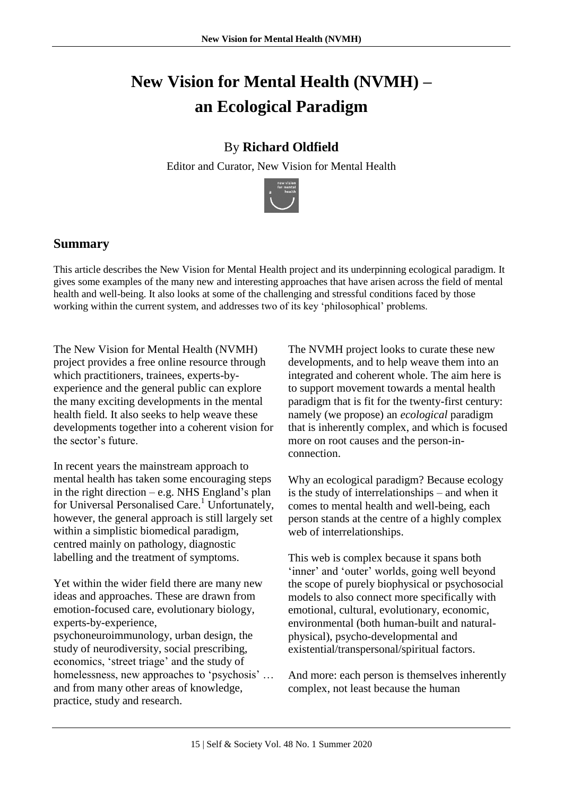# **New Vision for Mental Health (NVMH) – an Ecological Paradigm**

## By **Richard Oldfield**

Editor and Curator, New Vision for Mental Health



### **Summary**

This article describes the New Vision for Mental Health project and its underpinning ecological paradigm. It gives some examples of the many new and interesting approaches that have arisen across the field of mental health and well-being. It also looks at some of the challenging and stressful conditions faced by those working within the current system, and addresses two of its key 'philosophical' problems.

The New Vision for Mental Health (NVMH) project provides a free online resource through which practitioners, trainees, experts-byexperience and the general public can explore the many exciting developments in the mental health field. It also seeks to help weave these developments together into a coherent vision for the sector's future.

In recent years the mainstream approach to mental health has taken some encouraging steps in the right direction – e.g. NHS England's plan for Universal Personalised Care.<sup>1</sup> Unfortunately, however, the general approach is still largely set within a simplistic biomedical paradigm, centred mainly on pathology, diagnostic labelling and the treatment of symptoms.

Yet within the wider field there are many new ideas and approaches. These are drawn from emotion-focused care, evolutionary biology, experts-by-experience, psychoneuroimmunology, urban design, the study of neurodiversity, social prescribing, economics, 'street triage' and the study of homelessness, new approaches to 'psychosis' … and from many other areas of knowledge, practice, study and research.

The NVMH project looks to curate these new developments, and to help weave them into an integrated and coherent whole. The aim here is to support movement towards a mental health paradigm that is fit for the twenty-first century: namely (we propose) an *ecological* paradigm that is inherently complex, and which is focused more on root causes and the person-inconnection.

Why an ecological paradigm? Because ecology is the study of interrelationships – and when it comes to mental health and well-being, each person stands at the centre of a highly complex web of interrelationships.

This web is complex because it spans both 'inner' and 'outer' worlds, going well beyond the scope of purely biophysical or psychosocial models to also connect more specifically with emotional, cultural, evolutionary, economic, environmental (both human-built and naturalphysical), psycho-developmental and existential/transpersonal/spiritual factors.

And more: each person is themselves inherently complex, not least because the human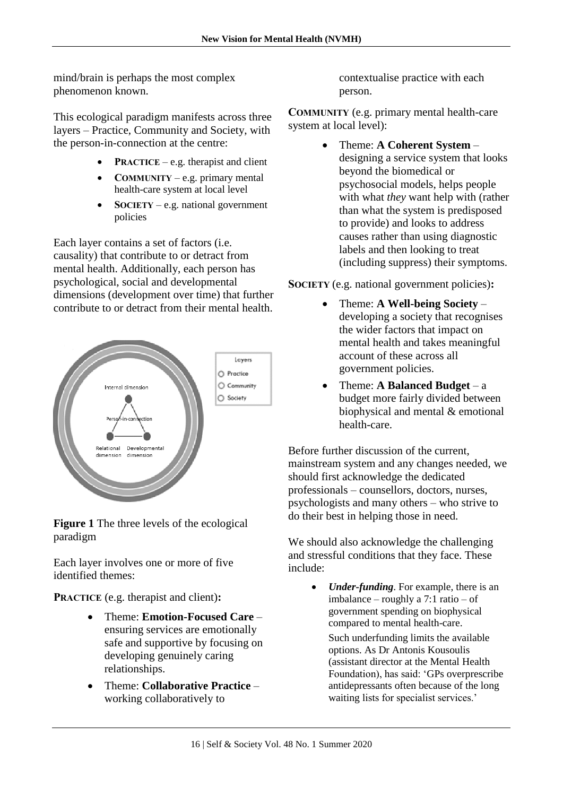mind/brain is perhaps the most complex phenomenon known.

This ecological paradigm manifests across three layers – Practice, Community and Society, with the person-in-connection at the centre:

- **PRACTICE** e.g. therapist and client
- **COMMUNITY** e.g. primary mental health-care system at local level
- **SOCIETY** e.g. national government policies

Each layer contains a set of factors (i.e. causality) that contribute to or detract from mental health. Additionally, each person has psychological, social and developmental dimensions (development over time) that further contribute to or detract from their mental health.



**Figure 1** The three levels of the ecological paradigm

Each layer involves one or more of five identified themes:

**PRACTICE** (e.g. therapist and client)**:**

- Theme: **Emotion-Focused Care**  ensuring services are emotionally safe and supportive by focusing on developing genuinely caring relationships.
- Theme: **Collaborative Practice**  working collaboratively to

contextualise practice with each person.

**COMMUNITY** (e.g. primary mental health-care system at local level):

> Theme: **A Coherent System** – designing a service system that looks beyond the biomedical or psychosocial models, helps people with what *they* want help with (rather than what the system is predisposed to provide) and looks to address causes rather than using diagnostic labels and then looking to treat (including suppress) their symptoms.

**SOCIETY** (e.g. national government policies)**:**

- Theme: **A Well-being Society** developing a society that recognises the wider factors that impact on mental health and takes meaningful account of these across all government policies.
- Theme: **A Balanced Budget**  a budget more fairly divided between biophysical and mental & emotional health-care.

Before further discussion of the current, mainstream system and any changes needed, we should first acknowledge the dedicated professionals – counsellors, doctors, nurses, psychologists and many others – who strive to do their best in helping those in need.

We should also acknowledge the challenging and stressful conditions that they face. These include:

> *Under-funding*. For example, there is an imbalance – roughly a 7:1 ratio – of government spending on biophysical compared to mental health-care.

Such underfunding limits the available options. As Dr Antonis Kousoulis (assistant director at the Mental Health Foundation), has said: 'GPs overprescribe antidepressants often because of the long waiting lists for specialist services.'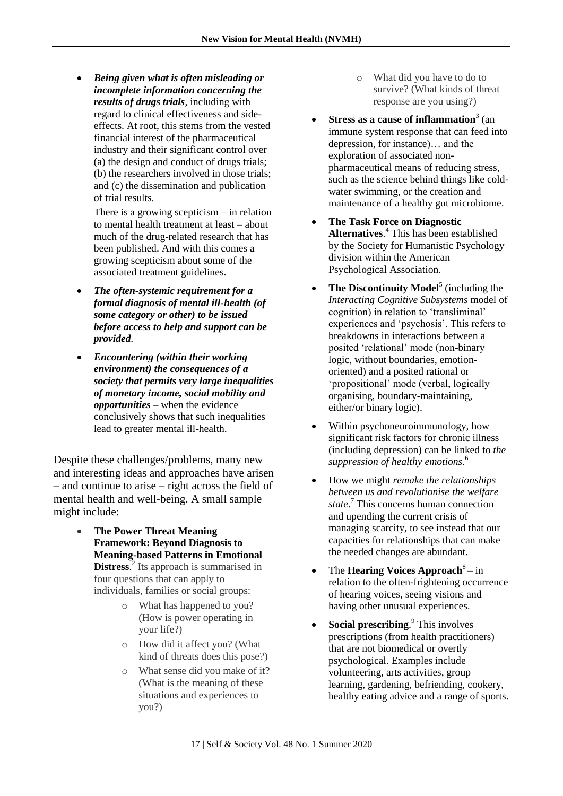*Being given what is often misleading or incomplete information concerning the results of drugs trials*, including with regard to clinical effectiveness and sideeffects. At root, this stems from the vested financial interest of the pharmaceutical industry and their significant control over (a) the design and conduct of drugs trials; (b) the researchers involved in those trials; and (c) the dissemination and publication of trial results.

There is a growing scepticism – in relation to mental health treatment at least – about much of the drug-related research that has been published. And with this comes a growing scepticism about some of the associated treatment guidelines.

- *The often-systemic requirement for a formal diagnosis of mental ill-health (of some category or other) to be issued before access to help and support can be provided.*
- *Encountering (within their working environment) the consequences of a society that permits very large inequalities of monetary income, social mobility and opportunities* – when the evidence conclusively shows that such inequalities lead to greater mental ill-health.

Despite these challenges/problems, many new and interesting ideas and approaches have arisen – and continue to arise – right across the field of mental health and well-being. A small sample might include:

- **The Power Threat Meaning Framework: Beyond Diagnosis to Meaning-based Patterns in Emotional Distress.**<sup>2</sup> Its approach is summarised in four questions that can apply to individuals, families or social groups:
	- o What has happened to you? (How is power operating in your life?)
	- o How did it affect you? (What kind of threats does this pose?)
	- o What sense did you make of it? (What is the meaning of these situations and experiences to you?)
- o What did you have to do to survive? (What kinds of threat response are you using?)
- Stress as a cause of inflammation<sup>3</sup> (an immune system response that can feed into depression, for instance)… and the exploration of associated nonpharmaceutical means of reducing stress, such as the science behind things like coldwater swimming, or the creation and maintenance of a healthy gut microbiome.
- **The Task Force on Diagnostic Alternatives**. <sup>4</sup> This has been established by the Society for Humanistic Psychology division within the American Psychological Association.
- The Discontinuity Model<sup>5</sup> (including the *Interacting Cognitive Subsystems* model of cognition) in relation to 'transliminal' experiences and 'psychosis'. This refers to breakdowns in interactions between a posited 'relational' mode (non-binary logic, without boundaries, emotionoriented) and a posited rational or 'propositional' mode (verbal, logically organising, boundary-maintaining, either/or binary logic).
- Within psychoneuroimmunology, how significant risk factors for chronic illness (including depression) can be linked to *the suppression of healthy emotions*. 6
- How we might *remake the relationships between us and revolutionise the welfare state*. <sup>7</sup> This concerns human connection and upending the current crisis of managing scarcity, to see instead that our capacities for relationships that can make the needed changes are abundant.
- The **Hearing Voices Approach**<sup>8</sup> in relation to the often-frightening occurrence of hearing voices, seeing visions and having other unusual experiences.
- **Social prescribing.**<sup>9</sup> This involves prescriptions (from health practitioners) that are not biomedical or overtly psychological. Examples include volunteering, arts activities, group learning, gardening, befriending, cookery, healthy eating advice and a range of sports.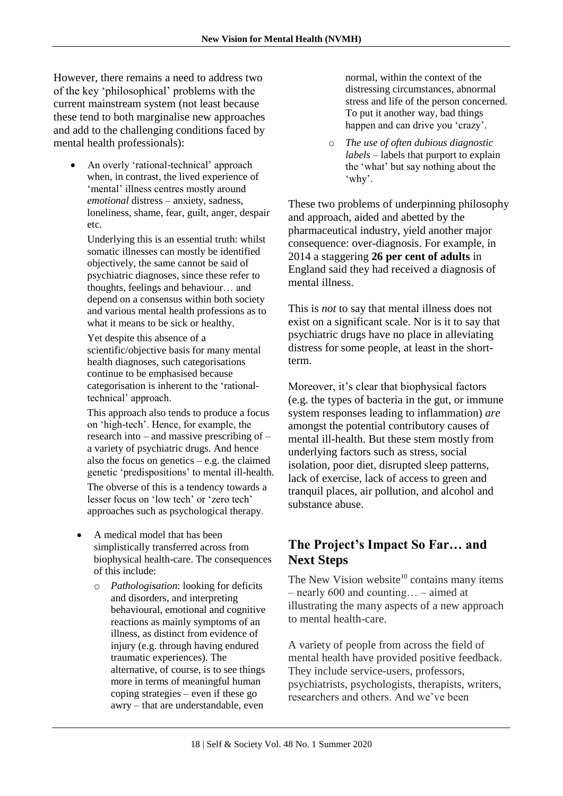However, there remains a need to address two of the key 'philosophical' problems with the current mainstream system (not least because these tend to both marginalise new approaches and add to the challenging conditions faced by mental health professionals):

• An overly 'rational-technical' approach when, in contrast, the lived experience of 'mental' illness centres mostly around *emotional* distress – anxiety, sadness, loneliness, shame, fear, guilt, anger, despair etc.

Underlying this is an essential truth: whilst somatic illnesses can mostly be identified objectively, the same cannot be said of psychiatric diagnoses, since these refer to thoughts, feelings and behaviour… and depend on a consensus within both society and various mental health professions as to what it means to be sick or healthy.

Yet despite this absence of a scientific/objective basis for many mental health diagnoses, such categorisations continue to be emphasised because categorisation is inherent to the 'rationaltechnical' approach.

This approach also tends to produce a focus on 'high-tech'. Hence, for example, the research into – and massive prescribing of – a variety of psychiatric drugs. And hence also the focus on genetics – e.g. the claimed genetic 'predispositions' to mental ill-health. The obverse of this is a tendency towards a lesser focus on 'low tech' or 'zero tech' approaches such as psychological therapy.

- A medical model that has been simplistically transferred across from biophysical health-care. The consequences of this include:
	- o *Pathologisation*: looking for deficits and disorders, and interpreting behavioural, emotional and cognitive reactions as mainly symptoms of an illness, as distinct from evidence of injury (e.g. through having endured traumatic experiences). The alternative, of course, is to see things more in terms of meaningful human coping strategies – even if these go awry – that are understandable, even

normal, within the context of the distressing circumstances, abnormal stress and life of the person concerned. To put it another way, bad things happen and can drive you 'crazy'.

o *The use of often dubious diagnostic labels* – labels that purport to explain the 'what' but say nothing about the 'why'.

These two problems of underpinning philosophy and approach, aided and abetted by the pharmaceutical industry, yield another major consequence: over-diagnosis. For example, in 2014 a staggering **26 per cent of adults** in England said they had received a diagnosis of mental illness.

This is *not* to say that mental illness does not exist on a significant scale. Nor is it to say that psychiatric drugs have no place in alleviating distress for some people, at least in the shortterm.

Moreover, it's clear that biophysical factors (e.g. the types of bacteria in the gut, or immune system responses leading to inflammation) *are* amongst the potential contributory causes of mental ill-health. But these stem mostly from underlying factors such as stress, social isolation, poor diet, disrupted sleep patterns, lack of exercise, lack of access to green and tranquil places, air pollution, and alcohol and substance abuse.

### **The Project's Impact So Far… and Next Steps**

The New Vision website $10$  contains many items – nearly 600 and counting… – aimed at illustrating the many aspects of a new approach to mental health-care.

A variety of people from across the field of mental health have provided positive feedback. They include service-users, professors, psychiatrists, psychologists, therapists, writers, researchers and others. And we've been